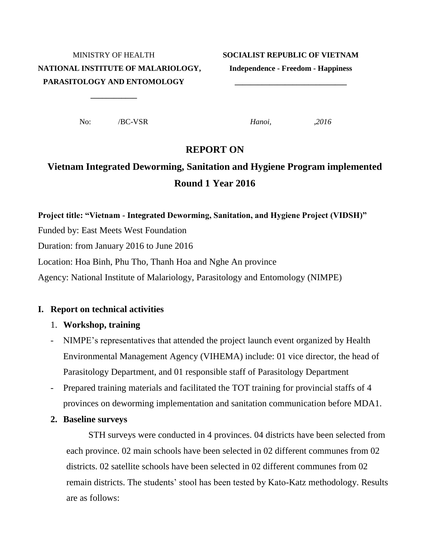# **NATIONAL INSTITUTE OF MALARIOLOGY, Independence - Freedom - Happiness PARASITOLOGY AND ENTOMOLOGY \_\_\_\_\_\_\_\_\_\_\_\_\_\_\_\_\_\_\_\_\_\_\_\_\_\_\_\_\_**

#### MINISTRY OF HEALTH **SOCIALIST REPUBLIC OF VIETNAM**

No: /BC-VSR *Hanoi, ,2016*

**\_\_\_\_\_\_\_\_\_\_\_\_**

#### **REPORT ON**

## **Vietnam Integrated Deworming, Sanitation and Hygiene Program implemented Round 1 Year 2016**

# **Project title: "Vietnam - Integrated Deworming, Sanitation, and Hygiene Project (VIDSH)"** Funded by: East Meets West Foundation Duration: from January 2016 to June 2016 Location: Hoa Binh, Phu Tho, Thanh Hoa and Nghe An province Agency: National Institute of Malariology, Parasitology and Entomology (NIMPE)

#### **I. Report on technical activities**

#### 1. **Workshop, training**

- NIMPE's representatives that attended the project launch event organized by Health Environmental Management Agency (VIHEMA) include: 01 vice director, the head of Parasitology Department, and 01 responsible staff of Parasitology Department
- Prepared training materials and facilitated the TOT training for provincial staffs of 4 provinces on deworming implementation and sanitation communication before MDA1.
- **2. Baseline surveys**

STH surveys were conducted in 4 provinces. 04 districts have been selected from each province. 02 main schools have been selected in 02 different communes from 02 districts. 02 satellite schools have been selected in 02 different communes from 02 remain districts. The students' stool has been tested by Kato-Katz methodology. Results are as follows: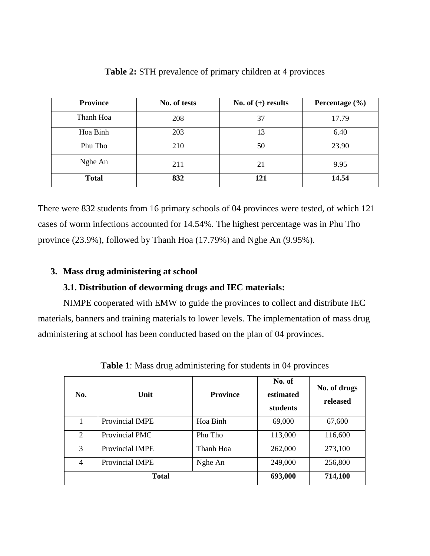| <b>Province</b> | No. of tests | No. of $(+)$ results | Percentage $(\% )$ |  |
|-----------------|--------------|----------------------|--------------------|--|
| Thanh Hoa       | 208          | 37                   | 17.79              |  |
| Hoa Binh        | 203          | 13                   | 6.40               |  |
| Phu Tho         | 210          | 50                   | 23.90              |  |
| Nghe An         | 211<br>21    |                      | 9.95               |  |
| <b>Total</b>    | 832          | 121                  | 14.54              |  |

**Table 2:** STH prevalence of primary children at 4 provinces

There were 832 students from 16 primary schools of 04 provinces were tested, of which 121 cases of worm infections accounted for 14.54%. The highest percentage was in Phu Tho province (23.9%), followed by Thanh Hoa (17.79%) and Nghe An (9.95%).

#### **3. Mass drug administering at school**

#### **3.1. Distribution of deworming drugs and IEC materials:**

NIMPE cooperated with EMW to guide the provinces to collect and distribute IEC materials, banners and training materials to lower levels. The implementation of mass drug administering at school has been conducted based on the plan of 04 provinces.

| No.          | Unit                   | <b>Province</b> | No. of<br>estimated<br>students | No. of drugs<br>released |
|--------------|------------------------|-----------------|---------------------------------|--------------------------|
|              | Provincial IMPE        | Hoa Binh        | 69,000                          | 67,600                   |
| 2            | Provincial PMC         | Phu Tho         | 113,000                         | 116,600                  |
| 3            | Provincial IMPE        | Thanh Hoa       | 262,000                         | 273,100                  |
| 4            | <b>Provincial IMPE</b> | Nghe An         | 249,000                         | 256,800                  |
| <b>Total</b> |                        | 693,000         | 714,100                         |                          |

**Table 1**: Mass drug administering for students in 04 provinces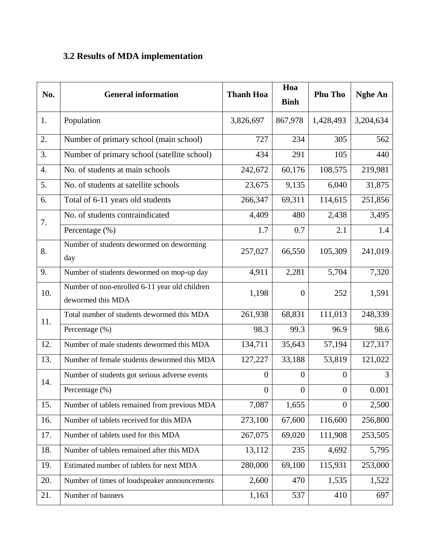### **3.2 Results of MDA implementation**

| No.              | <b>General information</b>                                         | <b>Thanh Hoa</b> | Hoa<br><b>Binh</b> | <b>Phu Tho</b>   | <b>Nghe An</b> |
|------------------|--------------------------------------------------------------------|------------------|--------------------|------------------|----------------|
| 1.               | Population                                                         | 3,826,697        | 867,978            | 1,428,493        | 3,204,634      |
| 2.               | Number of primary school (main school)                             | 727              | 234                | 305              | 562            |
| 3.               | Number of primary school (satellite school)                        | 434              | 291                | 105              | 440            |
| $\overline{4}$ . | No. of students at main schools                                    | 242,672          | 60,176             | 108,575          | 219,981        |
| 5.               | No. of students at satellite schools                               | 23,675           | 9,135              | 6,040            | 31,875         |
| 6.               | Total of 6-11 years old students                                   | 266,347          | 69,311             | 114,615          | 251,856        |
| 7.               | No. of students contraindicated                                    | 4,409            | 480                | 2,438            | 3,495          |
|                  | Percentage (%)                                                     | 1.7              | 0.7                | 2.1              | 1.4            |
| 8.               | Number of students dewormed on deworming<br>day                    | 257,027          | 66,550             | 105,309          | 241,019        |
| 9.               | Number of students dewormed on mop-up day                          | 4,911            | 2,281              | 5,704            | 7,320          |
| 10.              | Number of non-enrolled 6-11 year old children<br>dewormed this MDA | 1,198            | $\overline{0}$     | 252              | 1,591          |
| 11.              | Total number of students dewormed this MDA                         | 261,938          | 68,831             | 111,013          | 248,339        |
|                  | Percentage (%)                                                     | 98.3             | 99.3               | 96.9             | 98.6           |
| 12.              | Number of male students dewormed this MDA                          | 134,711          | 35,643             | 57,194           | 127,317        |
| 13.              | Number of female students dewormed this MDA                        | 127,227          | 33,188             | 53,819           | 121,022        |
| 14.              | Number of students got serious adverse events                      | $\boldsymbol{0}$ | $\overline{0}$     | $\overline{0}$   | 3              |
|                  | Percentage (%)                                                     | $\boldsymbol{0}$ | $\boldsymbol{0}$   | $\boldsymbol{0}$ | 0.001          |
| 15.              | Number of tablets remained from previous MDA                       | 7,087            | 1,655              | $\overline{0}$   | 2,500          |
| 16.              | Number of tablets received for this MDA                            | 273,100          | 67,600             | 116,600          | 256,800        |
| 17.              | Number of tablets used for this MDA                                | 267,075          | 69,020             | 111,908          | 253,505        |
| 18.              | Number of tablets remained after this MDA                          | 13,112           | 235                | 4,692            | 5,795          |
| 19.              | Estimated number of tablets for next MDA                           | 280,000          | 69,100             | 115,931          | 253,000        |
| 20.              | Number of times of loudspeaker announcements                       | 2,600            | 470                | 1,535            | 1,522          |
| 21.              | Number of banners                                                  | 1,163            | 537                | 410              | 697            |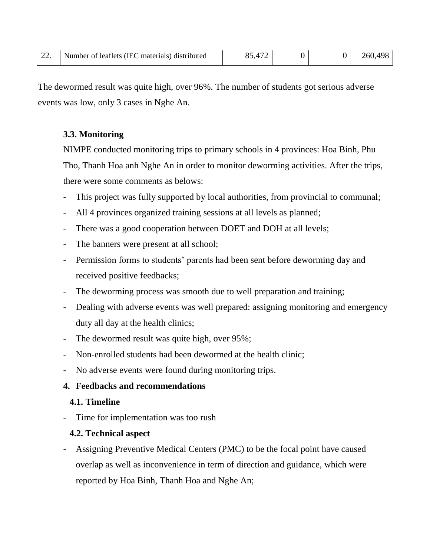The dewormed result was quite high, over 96%. The number of students got serious adverse events was low, only 3 cases in Nghe An.

#### **3.3. Monitoring**

NIMPE conducted monitoring trips to primary schools in 4 provinces: Hoa Binh, Phu Tho, Thanh Hoa anh Nghe An in order to monitor deworming activities. After the trips, there were some comments as belows:

- This project was fully supported by local authorities, from provincial to communal;
- All 4 provinces organized training sessions at all levels as planned;
- There was a good cooperation between DOET and DOH at all levels;
- The banners were present at all school;
- Permission forms to students' parents had been sent before deworming day and received positive feedbacks;
- The deworming process was smooth due to well preparation and training;
- Dealing with adverse events was well prepared: assigning monitoring and emergency duty all day at the health clinics;
- The dewormed result was quite high, over 95%;
- Non-enrolled students had been dewormed at the health clinic;
- No adverse events were found during monitoring trips.

#### **4. Feedbacks and recommendations**

#### **4.1. Timeline**

Time for implementation was too rush

#### **4.2. Technical aspect**

Assigning Preventive Medical Centers (PMC) to be the focal point have caused overlap as well as inconvenience in term of direction and guidance, which were reported by Hoa Binh, Thanh Hoa and Nghe An;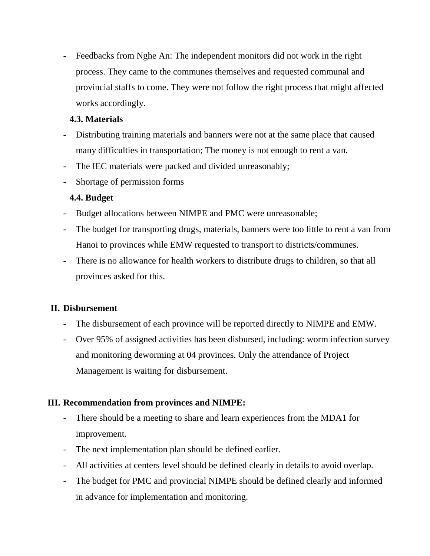- Feedbacks from Nghe An: The independent monitors did not work in the right process. They came to the communes themselves and requested communal and provincial staffs to come. They were not follow the right process that might affected works accordingly.

#### **4.3. Materials**

- Distributing training materials and banners were not at the same place that caused many difficulties in transportation; The money is not enough to rent a van.
- The IEC materials were packed and divided unreasonably;
- Shortage of permission forms

#### **4.4. Budget**

- Budget allocations between NIMPE and PMC were unreasonable;
- The budget for transporting drugs, materials, banners were too little to rent a van from Hanoi to provinces while EMW requested to transport to districts/communes.
- There is no allowance for health workers to distribute drugs to children, so that all provinces asked for this.

#### **II. Disbursement**

- The disbursement of each province will be reported directly to NIMPE and EMW.
- Over 95% of assigned activities has been disbursed, including: worm infection survey and monitoring deworming at 04 provinces. Only the attendance of Project Management is waiting for disbursement.

#### **III. Recommendation from provinces and NIMPE:**

- There should be a meeting to share and learn experiences from the MDA1 for improvement.
- The next implementation plan should be defined earlier.
- All activities at centers level should be defined clearly in details to avoid overlap.
- The budget for PMC and provincial NIMPE should be defined clearly and informed in advance for implementation and monitoring.